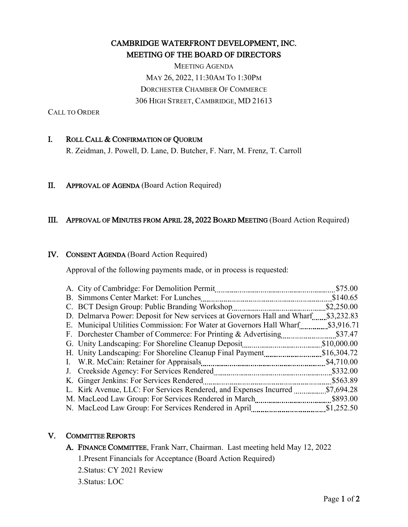# CAMBRIDGE WATERFRONT DEVELOPMENT, INC. MEETING OF THE BOARD OF DIRECTORS

MEETING AGENDA MAY 26, 2022, 11:30AM TO 1:30PM DORCHESTER CHAMBER OF COMMERCE 306 HIGH STREET, CAMBRIDGE, MD 21613

CALL TO ORDER

# I. ROLL CALL & CONFIRMATION OF QUORUM

R. Zeidman, J. Powell, D. Lane, D. Butcher, F. Narr, M. Frenz, T. Carroll

# II. APPROVAL OF AGENDA (Board Action Required)

#### III. APPROVAL OF MINUTES FROM APRIL 28, 2022 BOARD MEETING (Board Action Required)

#### IV. CONSENT AGENDA (Board Action Required)

Approval of the following payments made, or in process is requested:

| A. City of Cambridge: For Demolition Permit                             | \$75.00     |
|-------------------------------------------------------------------------|-------------|
| B. Simmons Center Market: For Lunches                                   | \$140.65    |
| C. BCT Design Group: Public Branding Workshop                           | \$2,250.00  |
| D. Delmarva Power: Deposit for New services at Governors Hall and Wharf | \$3,232.83  |
| E. Municipal Utilities Commission: For Water at Governors Hall Wharf    | \$3,916.71  |
| F. Dorchester Chamber of Commerce: For Printing & Advertising           | \$37.47     |
| G. Unity Landscaping: For Shoreline Cleanup Deposit                     | \$10,000.00 |
| H. Unity Landscaping: For Shoreline Cleanup Final Payment               | \$16,304.72 |
| I. W.R. McCain: Retainer for Appraisals                                 | \$4,710.00  |
| J. Creekside Agency: For Services Rendered                              | \$332.00    |
| K. Ginger Jenkins: For Services Rendered                                | \$563.89    |
| L. Kirk Avenue, LLC: For Services Rendered, and Expenses Incurred       | \$7,694.28  |
| M. MacLeod Law Group: For Services Rendered in March                    | \$893.00    |
| N. MacLeod Law Group: For Services Rendered in April                    | \$1,252.50  |

# V. COMMITTEE REPORTS

A. FINANCE COMMITTEE, Frank Narr, Chairman. Last meeting held May 12, 2022

1.Present Financials for Acceptance (Board Action Required)

- 2.Status: CY 2021 Review
- 3.Status: LOC